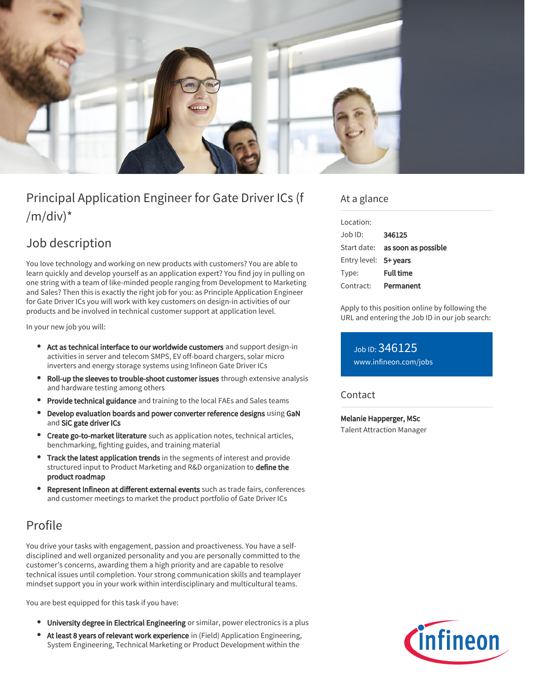

# Principal Application Engineer for Gate Driver ICs (f  $/m/div)^*$

## Job description

You love technology and working on new products with customers? You are able to learn quickly and develop yourself as an application expert? You find joy in pulling on one string with a team of like-minded people ranging from Development to Marketing and Sales? Then this is exactly the right job for you: as Principle Application Engineer for Gate Driver ICs you will work with key customers on design-in activities of our products and be involved in technical customer support at application level.

In your new job you will:

- Act as technical interface to our worldwide customers and support design-in activities in server and telecom SMPS, EV off-board chargers, solar micro inverters and energy storage systems using Infineon Gate Driver ICs
- Roll-up the sleeves to trouble-shoot customer issues through extensive analysis and hardware testing among others
- **Provide technical guidance** and training to the local FAEs and Sales teams
- Develop evaluation boards and power converter reference designs using GaN and SiC gate driver ICs
- Create go-to-market literature such as application notes, technical articles, benchmarking, fighting guides, and training material
- Track the latest application trends in the segments of interest and provide structured input to Product Marketing and R&D organization to **define the** product roadmap
- Represent Infineon at different external events such as trade fairs, conferences and customer meetings to market the product portfolio of Gate Driver ICs

## Profile

You drive your tasks with engagement, passion and proactiveness. You have a selfdisciplined and well organized personality and you are personally committed to the customer's concerns, awarding them a high priority and are capable to resolve technical issues until completion. Your strong communication skills and teamplayer mindset support you in your work within interdisciplinary and multicultural teams.

You are best equipped for this task if you have:

- **University degree in Electrical Engineering** or similar, power electronics is a plus
- At least 8 years of relevant work experience in (Field) Application Engineering, System Engineering, Technical Marketing or Product Development within the

### At a glance

| Location:             |                                        |
|-----------------------|----------------------------------------|
| $.$ lob $1D$ :        | 346125                                 |
|                       | Start date: <b>as soon as possible</b> |
| Entry level: 5+ years |                                        |
| Type:                 | <b>Full time</b>                       |
| Contract:             | Permanent                              |

Apply to this position online by following the URL and entering the Job ID in our job search:

Job ID: 346125 [www.infineon.com/jobs](https://www.infineon.com/jobs)

### Contact

Melanie Happerger, MSc Talent Attraction Manager